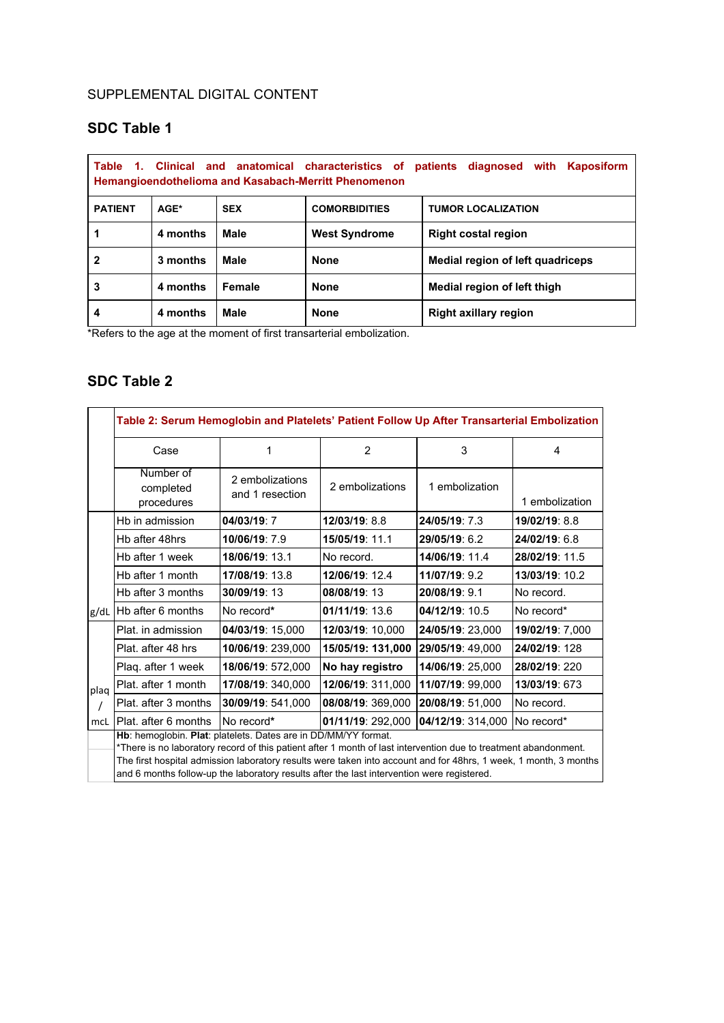#### SUPPLEMENTAL DIGITAL CONTENT

# **SDC Table 1**

| Table<br>Clinical and anatomical characteristics of<br>patients diagnosed<br>$\mathbf{1}$<br>Kaposiform<br>with<br><b>Hemangioendothelioma and Kasabach-Merritt Phenomenon</b> |          |             |                                                   |                                  |  |  |  |  |
|--------------------------------------------------------------------------------------------------------------------------------------------------------------------------------|----------|-------------|---------------------------------------------------|----------------------------------|--|--|--|--|
| <b>PATIENT</b>                                                                                                                                                                 | AGE*     | <b>SEX</b>  | <b>COMORBIDITIES</b><br><b>TUMOR LOCALIZATION</b> |                                  |  |  |  |  |
|                                                                                                                                                                                | 4 months | <b>Male</b> | <b>West Syndrome</b>                              | <b>Right costal region</b>       |  |  |  |  |
| 2                                                                                                                                                                              | 3 months | Male        | <b>None</b>                                       | Medial region of left guadriceps |  |  |  |  |
| 3                                                                                                                                                                              | 4 months | Female      | <b>None</b>                                       | Medial region of left thigh      |  |  |  |  |
| 4                                                                                                                                                                              | 4 months | Male        | <b>None</b>                                       | <b>Right axillary region</b>     |  |  |  |  |

\*Refers to the age at the moment of first transarterial embolization.

# **SDC Table 2**

|      | Table 2: Serum Hemoglobin and Platelets' Patient Follow Up After Transarterial Embolization                                                                                                                                                                                                                                                                                                         |                                    |                   |                   |                 |  |  |  |  |
|------|-----------------------------------------------------------------------------------------------------------------------------------------------------------------------------------------------------------------------------------------------------------------------------------------------------------------------------------------------------------------------------------------------------|------------------------------------|-------------------|-------------------|-----------------|--|--|--|--|
|      | Case                                                                                                                                                                                                                                                                                                                                                                                                | 1                                  | 2                 | 3                 | 4               |  |  |  |  |
|      | Number of<br>completed<br>procedures                                                                                                                                                                                                                                                                                                                                                                | 2 embolizations<br>and 1 resection | 2 embolizations   | 1 embolization    | 1 embolization  |  |  |  |  |
|      | Hb in admission                                                                                                                                                                                                                                                                                                                                                                                     | 04/03/19:7                         | 12/03/19: 8.8     | 24/05/19: 7.3     | 19/02/19: 8.8   |  |  |  |  |
|      | Hb after 48hrs                                                                                                                                                                                                                                                                                                                                                                                      | 10/06/19: 7.9                      | 15/05/19: 11.1    | 29/05/19: 6.2     | 24/02/19: 6.8   |  |  |  |  |
|      | Hb after 1 week                                                                                                                                                                                                                                                                                                                                                                                     | 18/06/19: 13.1                     | No record.        | 14/06/19: 11.4    | 28/02/19: 11.5  |  |  |  |  |
|      | Hb after 1 month                                                                                                                                                                                                                                                                                                                                                                                    | 17/08/19: 13.8                     | 12/06/19: 12.4    | 11/07/19: 9.2     | 13/03/19: 10.2  |  |  |  |  |
|      | Hb after 3 months                                                                                                                                                                                                                                                                                                                                                                                   | 30/09/19:13                        | 08/08/19:13       | 20/08/19: 9.1     | No record.      |  |  |  |  |
| g/dL | <b>Hb after 6 months</b>                                                                                                                                                                                                                                                                                                                                                                            | No record*                         | $01/11/19$ : 13.6 | 04/12/19: 10.5    | No record*      |  |  |  |  |
| plag | Plat. in admission                                                                                                                                                                                                                                                                                                                                                                                  | 04/03/19: 15,000                   | 12/03/19: 10,000  | 24/05/19: 23,000  | 19/02/19: 7,000 |  |  |  |  |
|      | Plat. after 48 hrs                                                                                                                                                                                                                                                                                                                                                                                  | 10/06/19: 239,000                  | 15/05/19: 131,000 | 29/05/19: 49,000  | 24/02/19: 128   |  |  |  |  |
|      | Plaq. after 1 week                                                                                                                                                                                                                                                                                                                                                                                  | 18/06/19: 572,000                  | No hay registro   | 14/06/19: 25,000  | 28/02/19: 220   |  |  |  |  |
|      | Plat. after 1 month                                                                                                                                                                                                                                                                                                                                                                                 | 17/08/19: 340,000                  | 12/06/19: 311,000 | 11/07/19: 99,000  | 13/03/19: 673   |  |  |  |  |
|      | Plat. after 3 months                                                                                                                                                                                                                                                                                                                                                                                | 30/09/19: 541,000                  | 08/08/19: 369,000 | 20/08/19: 51,000  | No record.      |  |  |  |  |
| mcL  | IPlat. after 6 months                                                                                                                                                                                                                                                                                                                                                                               | No record*                         | 01/11/19: 292,000 | 04/12/19: 314,000 | No record*      |  |  |  |  |
|      | Hb: hemoglobin. Plat: platelets. Dates are in DD/MM/YY format.<br>*There is no laboratory record of this patient after 1 month of last intervention due to treatment abandonment.<br>The first hospital admission laboratory results were taken into account and for 48hrs, 1 week, 1 month, 3 months<br>and 6 months follow-up the laboratory results after the last intervention were registered. |                                    |                   |                   |                 |  |  |  |  |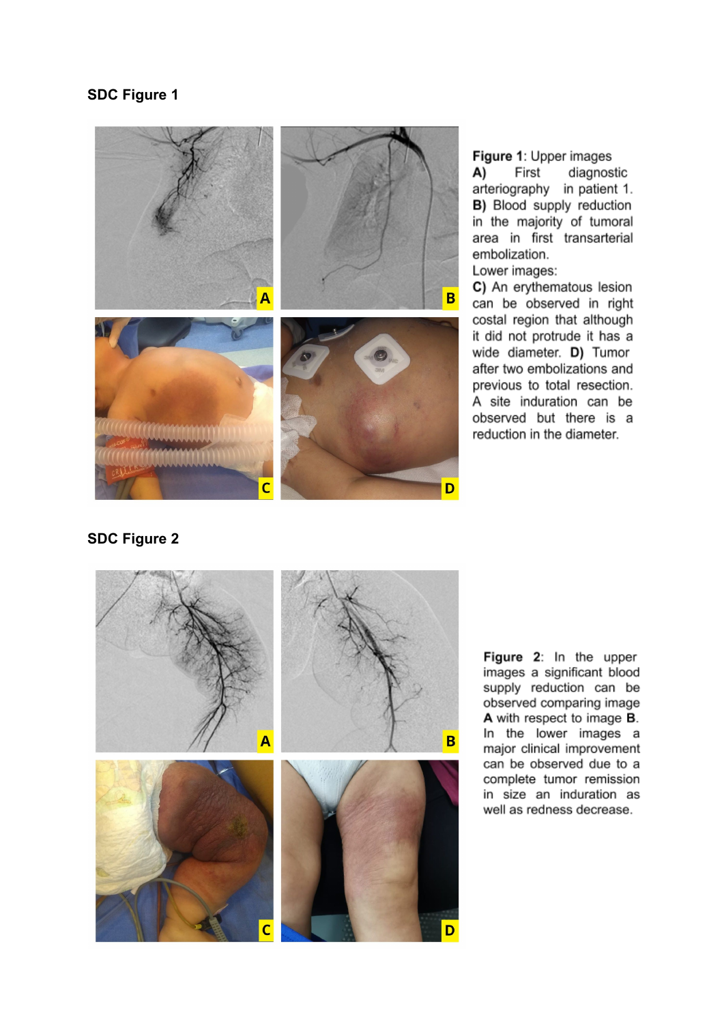## **SDC Figure 1**



Figure 1: Upper images A) First diagnostic arteriography in patient 1. B) Blood supply reduction in the majority of tumoral area in first transarterial embolization. Lower images:

C) An erythematous lesion can be observed in right costal region that although it did not protrude it has a wide diameter. D) Tumor after two embolizations and previous to total resection. A site induration can be observed but there is a reduction in the diameter.

## **SDC Figure 2**



Figure 2: In the upper images a significant blood supply reduction can be observed comparing image A with respect to image B. In the lower images a major clinical improvement can be observed due to a complete tumor remission in size an induration as well as redness decrease.